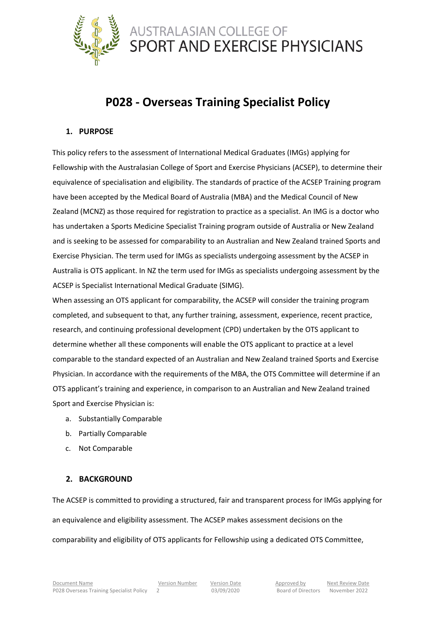

# **P028 - Overseas Training Specialist Policy**

### **1. PURPOSE**

This policy refers to the assessment of International Medical Graduates (IMGs) applying for Fellowship with the Australasian College of Sport and Exercise Physicians (ACSEP), to determine their equivalence of specialisation and eligibility. The standards of practice of the ACSEP Training program have been accepted by the Medical Board of Australia (MBA) and the Medical Council of New Zealand (MCNZ) as those required for registration to practice as a specialist. An IMG is a doctor who has undertaken a Sports Medicine Specialist Training program outside of Australia or New Zealand and is seeking to be assessed for comparability to an Australian and New Zealand trained Sports and Exercise Physician. The term used for IMGs as specialists undergoing assessment by the ACSEP in Australia is OTS applicant. In NZ the term used for IMGs as specialists undergoing assessment by the ACSEP is Specialist International Medical Graduate (SIMG).

When assessing an OTS applicant for comparability, the ACSEP will consider the training program completed, and subsequent to that, any further training, assessment, experience, recent practice, research, and continuing professional development (CPD) undertaken by the OTS applicant to determine whether all these components will enable the OTS applicant to practice at a level comparable to the standard expected of an Australian and New Zealand trained Sports and Exercise Physician. In accordance with the requirements of the MBA, the OTS Committee will determine if an OTS applicant's training and experience, in comparison to an Australian and New Zealand trained Sport and Exercise Physician is:

- a. Substantially Comparable
- b. Partially Comparable
- c. Not Comparable

### **2. BACKGROUND**

The ACSEP is committed to providing a structured, fair and transparent process for IMGs applying for an equivalence and eligibility assessment. The ACSEP makes assessment decisions on the comparability and eligibility of OTS applicants for Fellowship using a dedicated OTS Committee,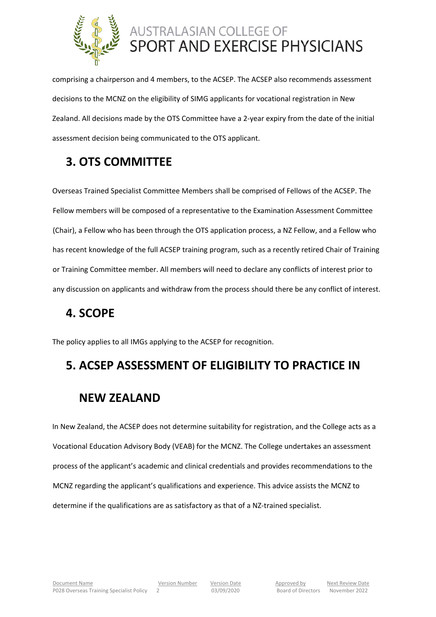

comprising a chairperson and 4 members, to the ACSEP. The ACSEP also recommends assessment decisions to the MCNZ on the eligibility of SIMG applicants for vocational registration in New Zealand. All decisions made by the OTS Committee have a 2-year expiry from the date of the initial assessment decision being communicated to the OTS applicant.

# **3. OTS COMMITTEE**

Overseas Trained Specialist Committee Members shall be comprised of Fellows of the ACSEP. The Fellow members will be composed of a representative to the Examination Assessment Committee (Chair), a Fellow who has been through the OTS application process, a NZ Fellow, and a Fellow who has recent knowledge of the full ACSEP training program, such as a recently retired Chair of Training or Training Committee member. All members will need to declare any conflicts of interest prior to any discussion on applicants and withdraw from the process should there be any conflict of interest.

# **4. SCOPE**

The policy applies to all IMGs applying to the ACSEP for recognition.

# **5. ACSEP ASSESSMENT OF ELIGIBILITY TO PRACTICE IN**

# **NEW ZEALAND**

In New Zealand, the ACSEP does not determine suitability for registration, and the College acts as a Vocational Education Advisory Body (VEAB) for the MCNZ. The College undertakes an assessment process of the applicant's academic and clinical credentials and provides recommendations to the MCNZ regarding the applicant's qualifications and experience. This advice assists the MCNZ to determine if the qualifications are as satisfactory as that of a NZ-trained specialist.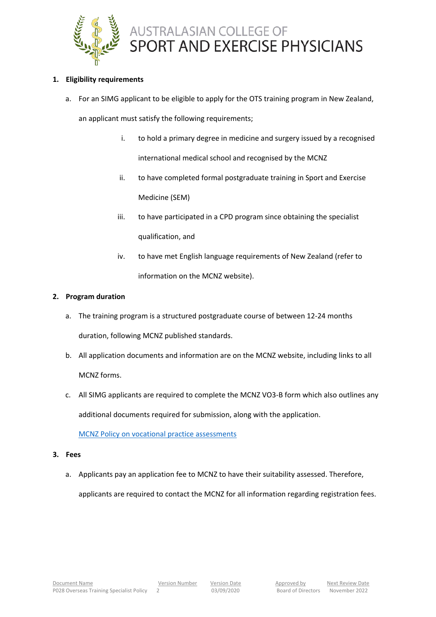

### **1. Eligibility requirements**

a. For an SIMG applicant to be eligible to apply for the OTS training program in New Zealand,

an applicant must satisfy the following requirements;

- i. to hold a primary degree in medicine and surgery issued by a recognised international medical school and recognised by the MCNZ
- ii. to have completed formal postgraduate training in Sport and Exercise Medicine (SEM)
- iii. to have participated in a CPD program since obtaining the specialist qualification, and
- iv. to have met English language requirements of New Zealand (refer to information on the MCNZ website).

### **2. Program duration**

- a. The training program is a structured postgraduate course of between 12-24 months duration, following MCNZ published standards.
- b. All application documents and information are on the MCNZ website, including links to all MCNZ forms.
- c. All SIMG applicants are required to complete the MCNZ VO3-B form which also outlines any additional documents required for submission, along with the application.

[MCNZ Policy on vocational practice assessments](https://www.mcnz.org.nz/registration/getting-registered/registration-policy/policy-on-vocational-practice-assessments/)

- **3. Fees**
	- a. Applicants pay an application fee to MCNZ to have their suitability assessed. Therefore, applicants are required to contact the MCNZ for all information regarding registration fees.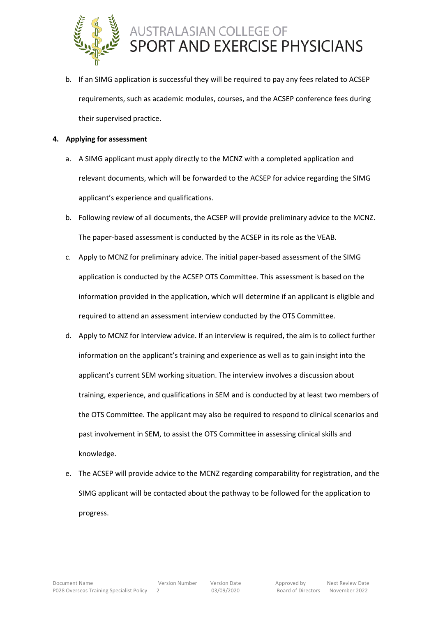

- b. If an SIMG application is successful they will be required to pay any fees related to ACSEP requirements, such as academic modules, courses, and the ACSEP conference fees during their supervised practice.
- **4. Applying for assessment**
	- a. A SIMG applicant must apply directly to the MCNZ with a completed application and relevant documents, which will be forwarded to the ACSEP for advice regarding the SIMG applicant's experience and qualifications.
	- b. Following review of all documents, the ACSEP will provide preliminary advice to the MCNZ. The paper-based assessment is conducted by the ACSEP in its role as the VEAB.
	- c. Apply to MCNZ for preliminary advice. The initial paper-based assessment of the SIMG application is conducted by the ACSEP OTS Committee. This assessment is based on the information provided in the application, which will determine if an applicant is eligible and required to attend an assessment interview conducted by the OTS Committee.
	- d. Apply to MCNZ for interview advice. If an interview is required, the aim is to collect further information on the applicant's training and experience as well as to gain insight into the applicant's current SEM working situation. The interview involves a discussion about training, experience, and qualifications in SEM and is conducted by at least two members of the OTS Committee. The applicant may also be required to respond to clinical scenarios and past involvement in SEM, to assist the OTS Committee in assessing clinical skills and knowledge.
	- e. The ACSEP will provide advice to the MCNZ regarding comparability for registration, and the SIMG applicant will be contacted about the pathway to be followed for the application to progress.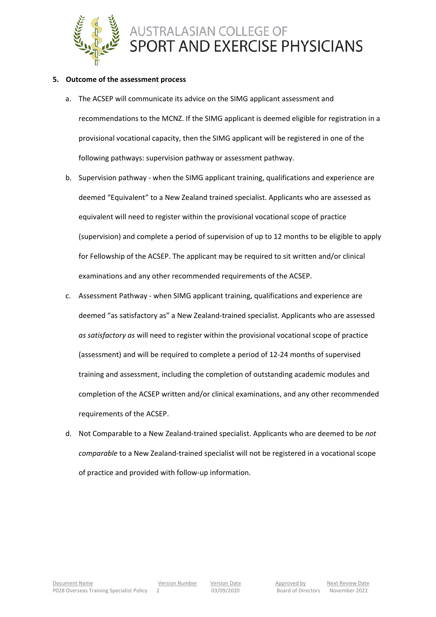

#### **5. Outcome of the assessment process**

- a. The ACSEP will communicate its advice on the SIMG applicant assessment and recommendations to the MCNZ. If the SIMG applicant is deemed eligible for registration in a provisional vocational capacity, then the SIMG applicant will be registered in one of the following pathways: supervision pathway or assessment pathway.
- b. Supervision pathway when the SIMG applicant training, qualifications and experience are deemed "Equivalent" to a New Zealand trained specialist. Applicants who are assessed as equivalent will need to register within the provisional vocational scope of practice (supervision) and complete a period of supervision of up to 12 months to be eligible to apply for Fellowship of the ACSEP. The applicant may be required to sit written and/or clinical examinations and any other recommended requirements of the ACSEP.
- c. Assessment Pathway when SIMG applicant training, qualifications and experience are deemed "as satisfactory as" a New Zealand-trained specialist. Applicants who are assessed *as satisfactory as* will need to register within the provisional vocational scope of practice (assessment) and will be required to complete a period of 12-24 months of supervised training and assessment, including the completion of outstanding academic modules and completion of the ACSEP written and/or clinical examinations, and any other recommended requirements of the ACSEP.
- d. Not Comparable to a New Zealand-trained specialist. Applicants who are deemed to be *not comparable* to a New Zealand-trained specialist will not be registered in a vocational scope of practice and provided with follow-up information.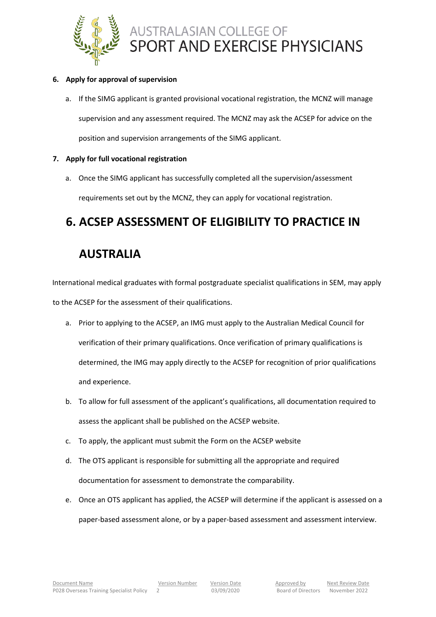

### **6. Apply for approval of supervision**

a. If the SIMG applicant is granted provisional vocational registration, the MCNZ will manage supervision and any assessment required. The MCNZ may ask the ACSEP for advice on the position and supervision arrangements of the SIMG applicant.

### **7. Apply for full vocational registration**

a. Once the SIMG applicant has successfully completed all the supervision/assessment requirements set out by the MCNZ, they can apply for vocational registration.

# **6. ACSEP ASSESSMENT OF ELIGIBILITY TO PRACTICE IN**

## **AUSTRALIA**

International medical graduates with formal postgraduate specialist qualifications in SEM, may apply to the ACSEP for the assessment of their qualifications.

- a. Prior to applying to the ACSEP, an IMG must apply to the Australian Medical Council for verification of their primary qualifications. Once verification of primary qualifications is determined, the IMG may apply directly to the ACSEP for recognition of prior qualifications and experience.
- b. To allow for full assessment of the applicant's qualifications, all documentation required to assess the applicant shall be published on the ACSEP website.
- c. To apply, the applicant must submit the Form on the ACSEP website
- d. The OTS applicant is responsible for submitting all the appropriate and required documentation for assessment to demonstrate the comparability.
- e. Once an OTS applicant has applied, the ACSEP will determine if the applicant is assessed on a paper-based assessment alone, or by a paper-based assessment and assessment interview.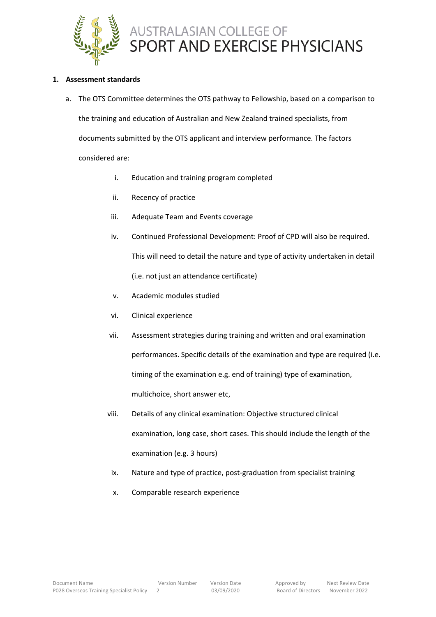

#### **1. Assessment standards**

- a. The OTS Committee determines the OTS pathway to Fellowship, based on a comparison to the training and education of Australian and New Zealand trained specialists, from documents submitted by the OTS applicant and interview performance. The factors considered are:
	- i. Education and training program completed
	- ii. Recency of practice
	- iii. Adequate Team and Events coverage
	- iv. Continued Professional Development: Proof of CPD will also be required. This will need to detail the nature and type of activity undertaken in detail (i.e. not just an attendance certificate)
	- v. Academic modules studied
	- vi. Clinical experience
	- vii. Assessment strategies during training and written and oral examination performances. Specific details of the examination and type are required (i.e. timing of the examination e.g. end of training) type of examination, multichoice, short answer etc,
	- viii. Details of any clinical examination: Objective structured clinical examination, long case, short cases. This should include the length of the examination (e.g. 3 hours)
	- ix. Nature and type of practice, post-graduation from specialist training
	- x. Comparable research experience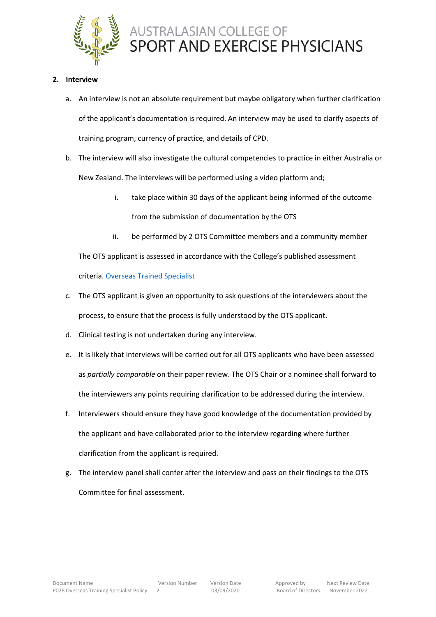

### **2. Interview**

- a. An interview is not an absolute requirement but maybe obligatory when further clarification of the applicant's documentation is required. An interview may be used to clarify aspects of training program, currency of practice, and details of CPD.
- b. The interview will also investigate the cultural competencies to practice in either Australia or New Zealand. The interviews will be performed using a video platform and;
	- i. take place within 30 days of the applicant being informed of the outcome from the submission of documentation by the OTS
	- ii. be performed by 2 OTS Committee members and a community member

The OTS applicant is assessed in accordance with the College's published assessment criteria. [Overseas Trained Specialist](https://www.acsep.org.au/page/about/membership/overseas-trained-specialist)

- c. The OTS applicant is given an opportunity to ask questions of the interviewers about the process, to ensure that the process is fully understood by the OTS applicant.
- d. Clinical testing is not undertaken during any interview.
- e. It is likely that interviews will be carried out for all OTS applicants who have been assessed as *partially comparable* on their paper review. The OTS Chair or a nominee shall forward to the interviewers any points requiring clarification to be addressed during the interview.
- f. Interviewers should ensure they have good knowledge of the documentation provided by the applicant and have collaborated prior to the interview regarding where further clarification from the applicant is required.
- g. The interview panel shall confer after the interview and pass on their findings to the OTS Committee for final assessment.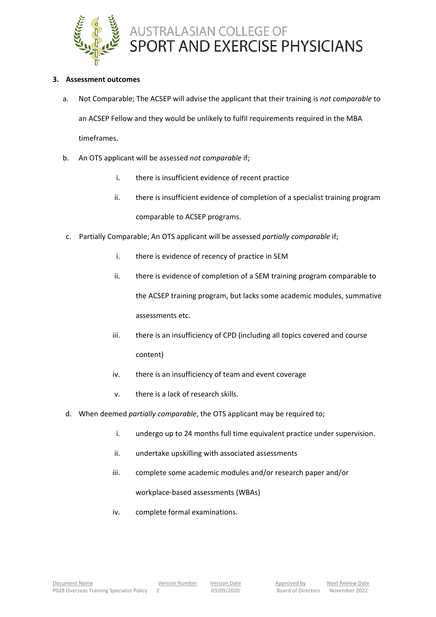

### **3. Assessment outcomes**

- a. Not Comparable; The ACSEP will advise the applicant that their training is *not comparable* to an ACSEP Fellow and they would be unlikely to fulfil requirements required in the MBA timeframes.
- b. An OTS applicant will be assessed *not comparable* if;
	- i. there is insufficient evidence of recent practice
	- ii. there is insufficient evidence of completion of a specialist training program comparable to ACSEP programs.
- c. Partially Comparable; An OTS applicant will be assessed *partially comparable* if;
	- i. there is evidence of recency of practice in SEM
	- ii. there is evidence of completion of a SEM training program comparable to the ACSEP training program, but lacks some academic modules, summative assessments etc.
	- iii. there is an insufficiency of CPD (including all topics covered and course content)
	- iv. there is an insufficiency of team and event coverage
	- v. there is a lack of research skills.
- d. When deemed *partially comparable*, the OTS applicant may be required to;
	- i. undergo up to 24 months full time equivalent practice under supervision.
	- ii. undertake upskilling with associated assessments
	- iii. complete some academic modules and/or research paper and/or workplace-based assessments (WBAs)
	- iv. complete formal examinations.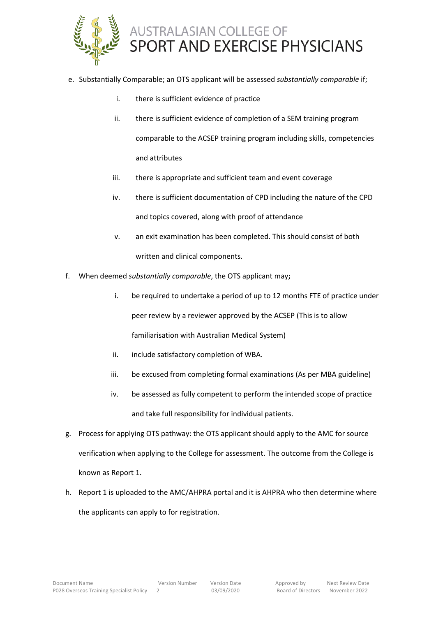

- e. Substantially Comparable; an OTS applicant will be assessed *substantially comparable* if;
	- i. there is sufficient evidence of practice
	- ii. there is sufficient evidence of completion of a SEM training program comparable to the ACSEP training program including skills, competencies and attributes
	- iii. there is appropriate and sufficient team and event coverage
	- iv. there is sufficient documentation of CPD including the nature of the CPD and topics covered, along with proof of attendance
	- v. an exit examination has been completed. This should consist of both written and clinical components.
- f. When deemed *substantially comparable*, the OTS applicant may**;**
	- i. be required to undertake a period of up to 12 months FTE of practice under peer review by a reviewer approved by the ACSEP (This is to allow familiarisation with Australian Medical System)
	- ii. include satisfactory completion of WBA.
	- iii. be excused from completing formal examinations (As per MBA guideline)
	- iv. be assessed as fully competent to perform the intended scope of practice and take full responsibility for individual patients.
- g. Process for applying OTS pathway: the OTS applicant should apply to the AMC for source verification when applying to the College for assessment. The outcome from the College is known as Report 1.
- h. Report 1 is uploaded to the AMC/AHPRA portal and it is AHPRA who then determine where the applicants can apply to for registration.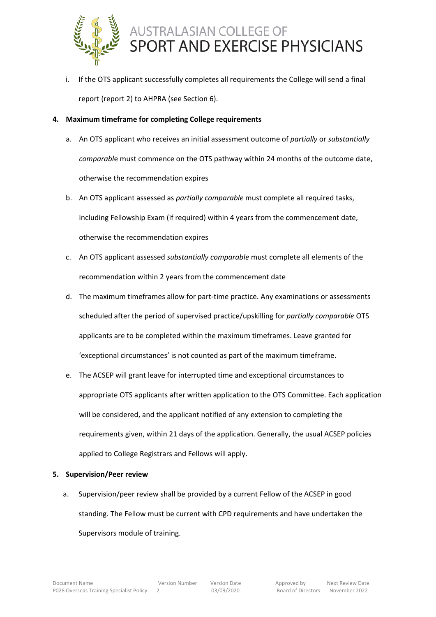

i. If the OTS applicant successfully completes all requirements the College will send a final report (report 2) to AHPRA (see Section 6).

### **4. Maximum timeframe for completing College requirements**

- a. An OTS applicant who receives an initial assessment outcome of *partially* or *substantially comparabl*e must commence on the OTS pathway within 24 months of the outcome date, otherwise the recommendation expires
- b. An OTS applicant assessed as *partially comparable* must complete all required tasks, including Fellowship Exam (if required) within 4 years from the commencement date, otherwise the recommendation expires
- c. An OTS applicant assessed *substantially comparable* must complete all elements of the recommendation within 2 years from the commencement date
- d. The maximum timeframes allow for part-time practice. Any examinations or assessments scheduled after the period of supervised practice/upskilling for *partially comparable* OTS applicants are to be completed within the maximum timeframes. Leave granted for 'exceptional circumstances' is not counted as part of the maximum timeframe.
- e. The ACSEP will grant leave for interrupted time and exceptional circumstances to appropriate OTS applicants after written application to the OTS Committee. Each application will be considered, and the applicant notified of any extension to completing the requirements given, within 21 days of the application. Generally, the usual ACSEP policies applied to College Registrars and Fellows will apply.

### **5. Supervision/Peer review**

a. Supervision/peer review shall be provided by a current Fellow of the ACSEP in good standing. The Fellow must be current with CPD requirements and have undertaken the Supervisors module of training.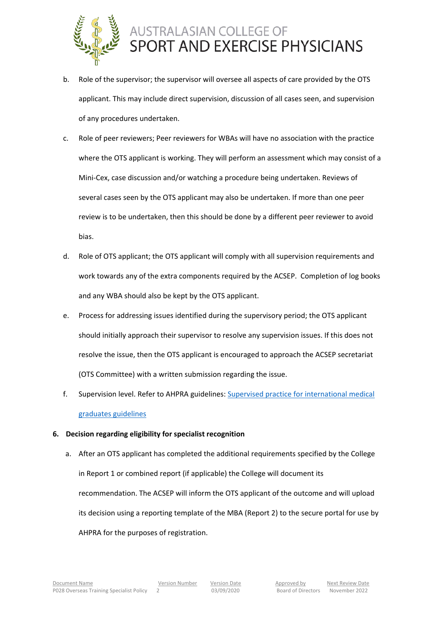

- b. Role of the supervisor; the supervisor will oversee all aspects of care provided by the OTS applicant. This may include direct supervision, discussion of all cases seen, and supervision of any procedures undertaken.
- c. Role of peer reviewers; Peer reviewers for WBAs will have no association with the practice where the OTS applicant is working. They will perform an assessment which may consist of a Mini-Cex, case discussion and/or watching a procedure being undertaken. Reviews of several cases seen by the OTS applicant may also be undertaken. If more than one peer review is to be undertaken, then this should be done by a different peer reviewer to avoid bias.
- d. Role of OTS applicant; the OTS applicant will comply with all supervision requirements and work towards any of the extra components required by the ACSEP. Completion of log books and any WBA should also be kept by the OTS applicant.
- e. Process for addressing issues identified during the supervisory period; the OTS applicant should initially approach their supervisor to resolve any supervision issues. If this does not resolve the issue, then the OTS applicant is encouraged to approach the ACSEP secretariat (OTS Committee) with a written submission regarding the issue.
- f. Supervision level. Refer to AHPRA guidelines: [Supervised practice for international medical](https://www.medicalboard.gov.au/Codes-Guidelines-Policies/Supervised-practice-guidelines.aspx)  [graduates guidelines](https://www.medicalboard.gov.au/Codes-Guidelines-Policies/Supervised-practice-guidelines.aspx)

### **6. Decision regarding eligibility for specialist recognition**

a. After an OTS applicant has completed the additional requirements specified by the College in Report 1 or combined report (if applicable) the College will document its recommendation. The ACSEP will inform the OTS applicant of the outcome and will upload its decision using a reporting template of the MBA (Report 2) to the secure portal for use by AHPRA for the purposes of registration.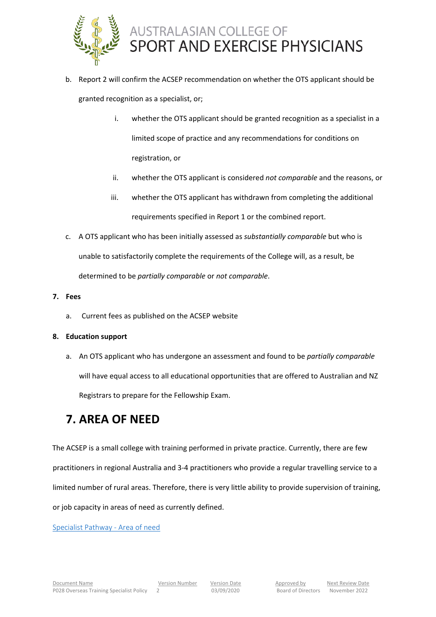

- b. Report 2 will confirm the ACSEP recommendation on whether the OTS applicant should be granted recognition as a specialist, or;
	- i. whether the OTS applicant should be granted recognition as a specialist in a limited scope of practice and any recommendations for conditions on registration, or
	- ii. whether the OTS applicant is considered *not comparable* and the reasons, or
	- iii. whether the OTS applicant has withdrawn from completing the additional requirements specified in Report 1 or the combined report.
- c. A OTS applicant who has been initially assessed as *substantially comparable* but who is unable to satisfactorily complete the requirements of the College will, as a result, be determined to be *partially comparable* or *not comparable*.
- **7. Fees**
	- a. Current fees as published on the ACSEP website

### **8. Education support**

a. An OTS applicant who has undergone an assessment and found to be *partially comparable* will have equal access to all educational opportunities that are offered to Australian and NZ Registrars to prepare for the Fellowship Exam.

### **7. AREA OF NEED**

The ACSEP is a small college with training performed in private practice. Currently, there are few practitioners in regional Australia and 3-4 practitioners who provide a regular travelling service to a limited number of rural areas. Therefore, there is very little ability to provide supervision of training, or job capacity in areas of need as currently defined.

[Specialist Pathway -](https://www.medicalboard.gov.au/Registration/International-Medical-Graduates/Specialist-Pathway/Area-of-need.aspx) Area of need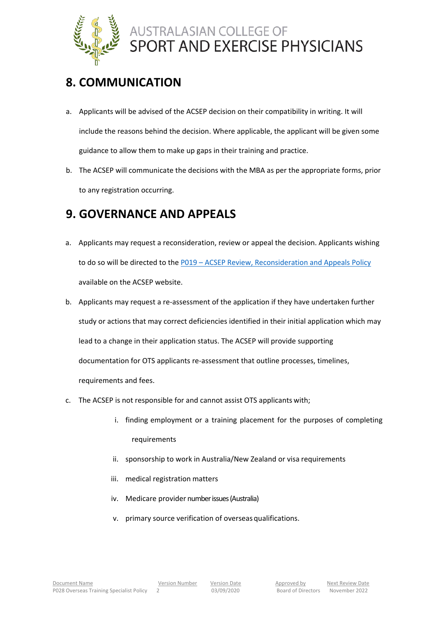

# **8. COMMUNICATION**

- a. Applicants will be advised of the ACSEP decision on their compatibility in writing. It will include the reasons behind the decision. Where applicable, the applicant will be given some guidance to allow them to make up gaps in their training and practice.
- b. The ACSEP will communicate the decisions with the MBA as per the appropriate forms, prior to any registration occurring.

## **9. GOVERNANCE AND APPEALS**

- a. Applicants may request a reconsideration, review or appeal the decision. Applicants wishing to do so will be directed to the P019 – [ACSEP Review, Reconsideration and Appeals Policy](http://www.acsep.org.au/content/Document/Policy%20Documents/P019%20Review%2C%20Reconsideration%20and%20Appeals%20Policy%20V2%20Ratified.docx.pdf) available on the ACSEP website.
- b. Applicants may request a re-assessment of the application if they have undertaken further study or actions that may correct deficiencies identified in their initial application which may lead to a change in their application status. The ACSEP will provide supporting documentation for OTS applicants re-assessment that outline processes, timelines, requirements and fees.
- c. The ACSEP is not responsible for and cannot assist OTS applicants with;
	- i. finding employment or a training placement for the purposes of completing requirements
	- ii. sponsorship to work in Australia/New Zealand or visa requirements
	- iii. medical registration matters
	- iv. Medicare provider number issues (Australia)
	- v. primary source verification of overseas qualifications.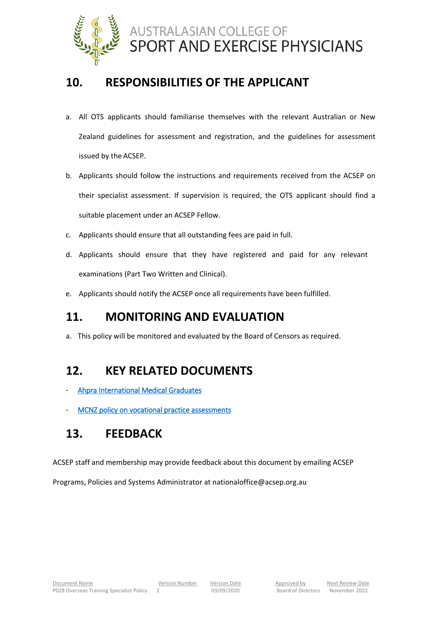

### **10. RESPONSIBILITIES OF THE APPLICANT**

- a. All OTS applicants should familiarise themselves with the relevant Australian or New Zealand guidelines for assessment and registration, and the guidelines for assessment issued by the ACSEP.
- b. Applicants should follow the instructions and requirements received from the ACSEP on their specialist assessment. If supervision is required, the OTS applicant should find a suitable placement under an ACSEP Fellow.
- c. Applicants should ensure that all outstanding fees are paid in full.
- d. Applicants should ensure that they have registered and paid for any relevant examinations (Part Two Written and Clinical).
- e. Applicants should notify the ACSEP once all requirements have been fulfilled.

# **11. MONITORING AND EVALUATION**

a. This policy will be monitored and evaluated by the Board of Censors as required.

### **12. KEY RELATED DOCUMENTS**

- [Ahpra International Medical Graduates](https://www.medicalboard.gov.au/registration/international-medical-graduates.aspx)
- MCNZ policy on vocational practice assessments

# **13. FEEDBACK**

ACSEP staff and membership may provide feedback about this document by emailing ACSEP

Programs, Policies and Systems Administrator at nationaloffice@acsep.org.au